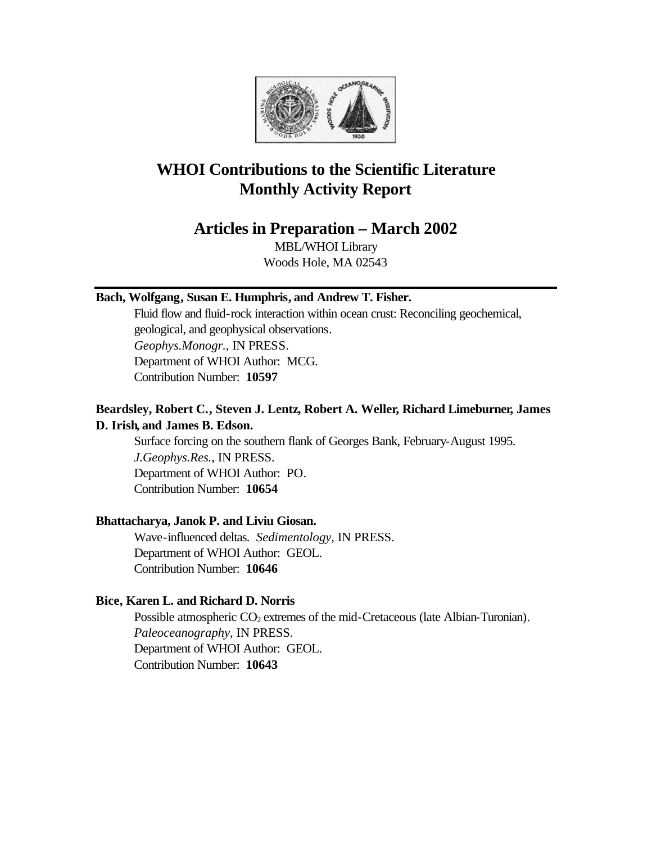

# **WHOI Contributions to the Scientific Literature Monthly Activity Report**

## **Articles in Preparation – March 2002**

MBL/WHOI Library Woods Hole, MA 02543

## **Bach, Wolfgang, Susan E. Humphris, and Andrew T. Fisher.**

Fluid flow and fluid-rock interaction within ocean crust: Reconciling geochemical, geological, and geophysical observations. *Geophys.Monogr.*, IN PRESS. Department of WHOI Author: MCG. Contribution Number: **10597**

## **Beardsley, Robert C., Steven J. Lentz, Robert A. Weller, Richard Limeburner, James D. Irish, and James B. Edson.**

Surface forcing on the southern flank of Georges Bank, February-August 1995. *J.Geophys.Res.*, IN PRESS. Department of WHOI Author: PO. Contribution Number: **10654**

## **Bhattacharya, Janok P. and Liviu Giosan.**

Wave-influenced deltas. *Sedimentology*, IN PRESS. Department of WHOI Author: GEOL. Contribution Number: **10646**

## **Bice, Karen L. and Richard D. Norris**

Possible atmospheric  $CO<sub>2</sub>$  extremes of the mid-Cretaceous (late Albian-Turonian). *Paleoceanography*, IN PRESS. Department of WHOI Author: GEOL. Contribution Number: **10643**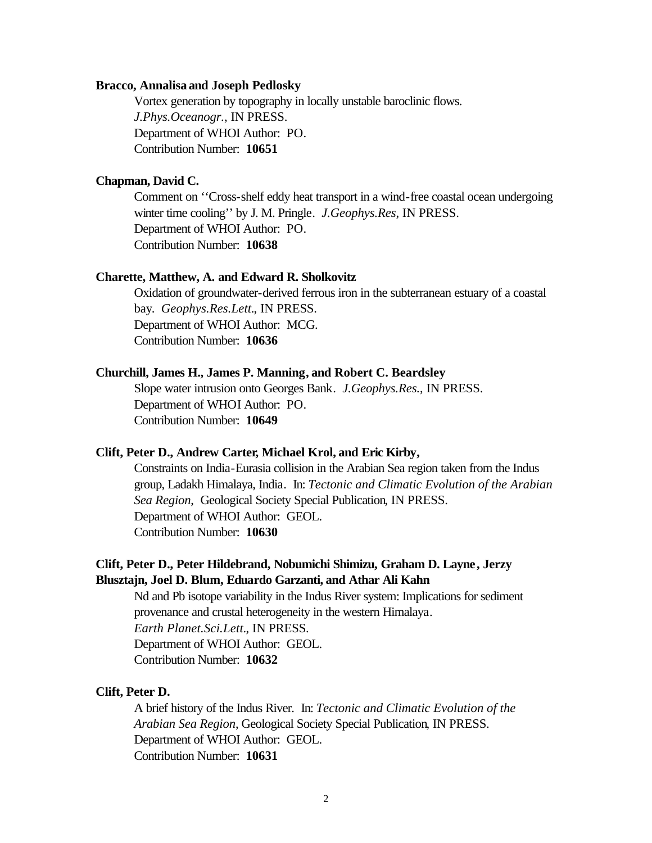#### **Bracco, Annalisa and Joseph Pedlosky**

Vortex generation by topography in locally unstable baroclinic flows. *J.Phys.Oceanogr.*, IN PRESS. Department of WHOI Author: PO. Contribution Number: **10651**

### **Chapman, David C.**

Comment on ''Cross-shelf eddy heat transport in a wind-free coastal ocean undergoing winter time cooling'' by J. M. Pringle. *J.Geophys.Res*, IN PRESS. Department of WHOI Author: PO. Contribution Number: **10638**

#### **Charette, Matthew, A. and Edward R. Sholkovitz**

Oxidation of groundwater-derived ferrous iron in the subterranean estuary of a coastal bay. *Geophys.Res.Lett.*, IN PRESS. Department of WHOI Author: MCG. Contribution Number: **10636**

#### **Churchill, James H., James P. Manning, and Robert C. Beardsley**

Slope water intrusion onto Georges Bank. *J.Geophys.Res.*, IN PRESS. Department of WHOI Author: PO. Contribution Number: **10649**

#### **Clift, Peter D., Andrew Carter, Michael Krol, and Eric Kirby,**

Constraints on India-Eurasia collision in the Arabian Sea region taken from the Indus group, Ladakh Himalaya, India. In: *Tectonic and Climatic Evolution of the Arabian Sea Region*, Geological Society Special Publication, IN PRESS. Department of WHOI Author: GEOL. Contribution Number: **10630**

## **Clift, Peter D., Peter Hildebrand, Nobumichi Shimizu, Graham D. Layne, Jerzy Blusztajn, Joel D. Blum, Eduardo Garzanti, and Athar Ali Kahn**

Nd and Pb isotope variability in the Indus River system: Implications for sediment provenance and crustal heterogeneity in the western Himalaya. *Earth Planet.Sci.Lett.*, IN PRESS. Department of WHOI Author: GEOL. Contribution Number: **10632**

#### **Clift, Peter D.**

A brief history of the Indus River. In: *Tectonic and Climatic Evolution of the Arabian Sea Region*, Geological Society Special Publication, IN PRESS. Department of WHOI Author: GEOL. Contribution Number: **10631**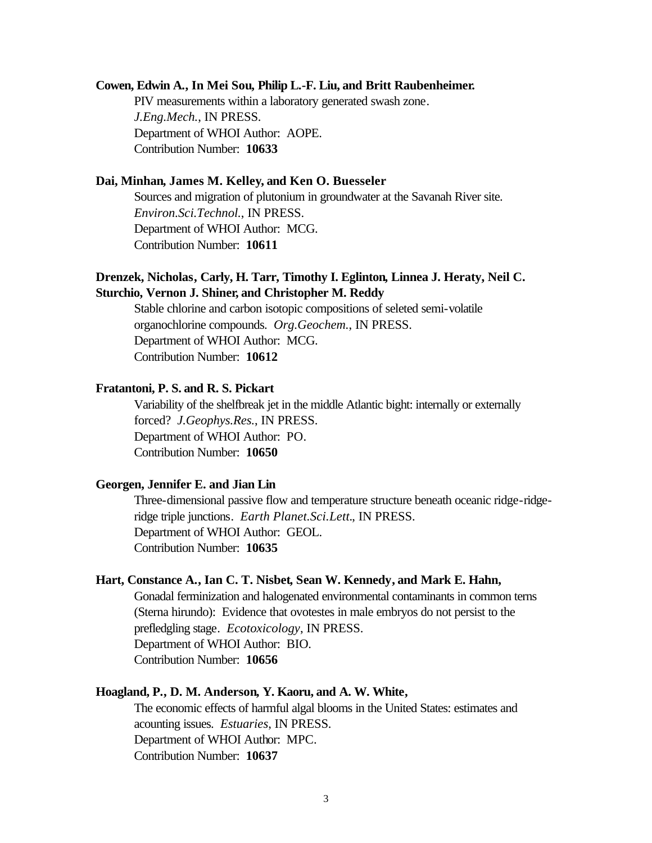#### **Cowen, Edwin A., In Mei Sou, Philip L.-F. Liu, and Britt Raubenheimer.**

PIV measurements within a laboratory generated swash zone. *J.Eng.Mech.*, IN PRESS. Department of WHOI Author: AOPE. Contribution Number: **10633**

### **Dai, Minhan, James M. Kelley, and Ken O. Buesseler**

Sources and migration of plutonium in groundwater at the Savanah River site. *Environ.Sci.Technol.*, IN PRESS. Department of WHOI Author: MCG. Contribution Number: **10611**

## **Drenzek, Nicholas, Carly, H. Tarr, Timothy I. Eglinton, Linnea J. Heraty, Neil C. Sturchio, Vernon J. Shiner, and Christopher M. Reddy**

Stable chlorine and carbon isotopic compositions of seleted semi-volatile organochlorine compounds. *Org.Geochem.*, IN PRESS. Department of WHOI Author: MCG. Contribution Number: **10612**

#### **Fratantoni, P. S. and R. S. Pickart**

Variability of the shelfbreak jet in the middle Atlantic bight: internally or externally forced? *J.Geophys.Res.*, IN PRESS. Department of WHOI Author: PO. Contribution Number: **10650**

#### **Georgen, Jennifer E. and Jian Lin**

Three-dimensional passive flow and temperature structure beneath oceanic ridge-ridgeridge triple junctions. *Earth Planet.Sci.Lett.*, IN PRESS. Department of WHOI Author: GEOL. Contribution Number: **10635**

#### **Hart, Constance A., Ian C. T. Nisbet, Sean W. Kennedy, and Mark E. Hahn,**

Gonadal ferminization and halogenated environmental contaminants in common terns (Sterna hirundo): Evidence that ovotestes in male embryos do not persist to the prefledgling stage. *Ecotoxicology*, IN PRESS. Department of WHOI Author: BIO. Contribution Number: **10656**

#### **Hoagland, P., D. M. Anderson, Y. Kaoru, and A. W. White,**

The economic effects of harmful algal blooms in the United States: estimates and acounting issues. *Estuaries*, IN PRESS. Department of WHOI Author: MPC. Contribution Number: **10637**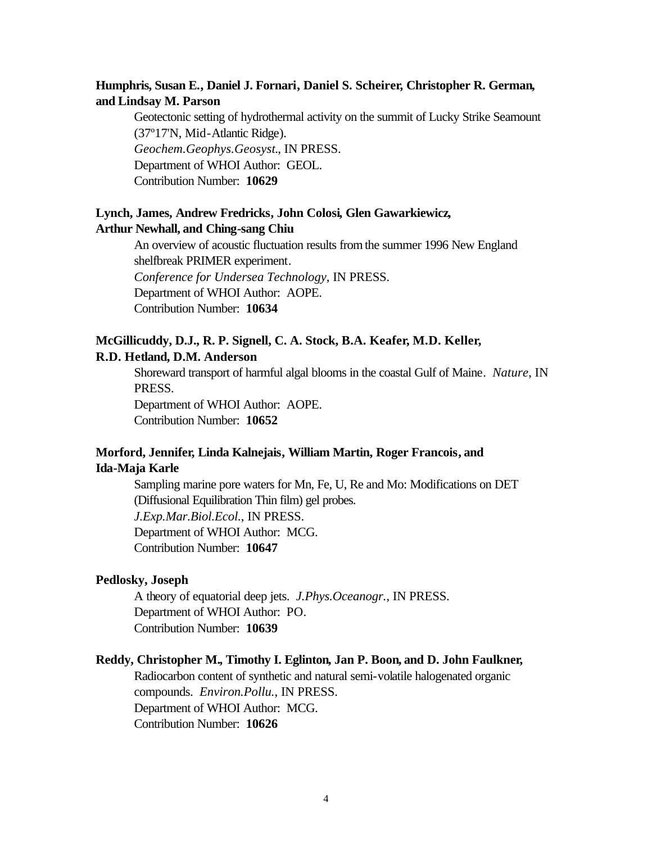## **Humphris, Susan E., Daniel J. Fornari, Daniel S. Scheirer, Christopher R. German, and Lindsay M. Parson**

Geotectonic setting of hydrothermal activity on the summit of Lucky Strike Seamount (37º17'N, Mid-Atlantic Ridge). *Geochem.Geophys.Geosyst.*, IN PRESS. Department of WHOI Author: GEOL. Contribution Number: **10629**

## **Lynch, James, Andrew Fredricks, John Colosi, Glen Gawarkiewicz, Arthur Newhall, and Ching-sang Chiu**

An overview of acoustic fluctuation results from the summer 1996 New England shelfbreak PRIMER experiment. *Conference for Undersea Technology*, IN PRESS. Department of WHOI Author: AOPE. Contribution Number: **10634**

## **McGillicuddy, D.J., R. P. Signell, C. A. Stock, B.A. Keafer, M.D. Keller,**

#### **R.D. Hetland, D.M. Anderson**

Shoreward transport of harmful algal blooms in the coastal Gulf of Maine. *Nature*, IN PRESS. Department of WHOI Author: AOPE.

Contribution Number: **10652**

## **Morford, Jennifer, Linda Kalnejais, William Martin, Roger Francois, and Ida-Maja Karle**

Sampling marine pore waters for Mn, Fe, U, Re and Mo: Modifications on DET (Diffusional Equilibration Thin film) gel probes. *J.Exp.Mar.Biol.Ecol.*, IN PRESS. Department of WHOI Author: MCG. Contribution Number: **10647**

#### **Pedlosky, Joseph**

A theory of equatorial deep jets. *J.Phys.Oceanogr.*, IN PRESS. Department of WHOI Author: PO. Contribution Number: **10639**

#### **Reddy, Christopher M., Timothy I. Eglinton, Jan P. Boon, and D. John Faulkner,**

Radiocarbon content of synthetic and natural semi-volatile halogenated organic compounds. *Environ.Pollu.*, IN PRESS. Department of WHOI Author: MCG. Contribution Number: **10626**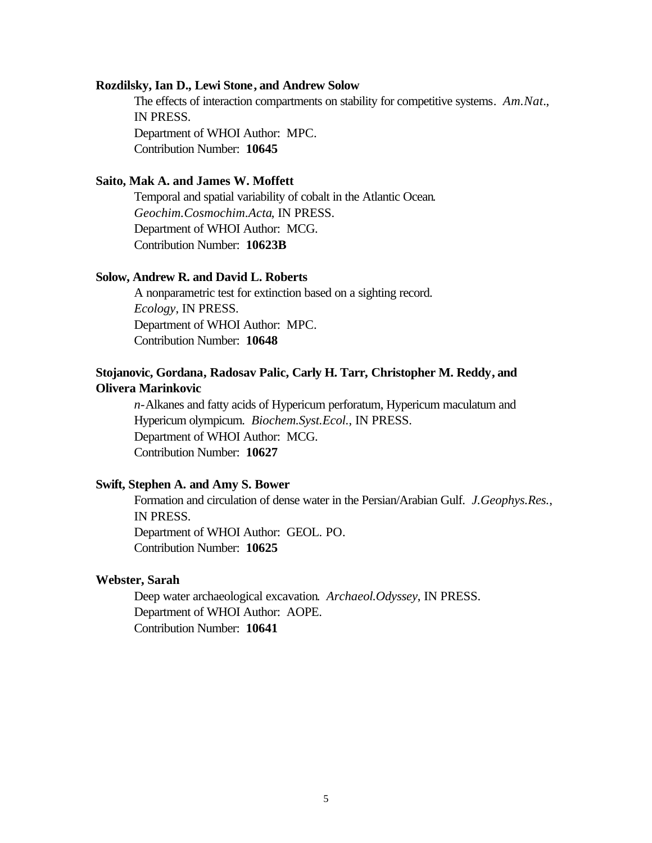#### **Rozdilsky, Ian D., Lewi Stone, and Andrew Solow**

The effects of interaction compartments on stability for competitive systems. *Am.Nat.*, IN PRESS. Department of WHOI Author: MPC. Contribution Number: **10645**

#### **Saito, Mak A. and James W. Moffett**

Temporal and spatial variability of cobalt in the Atlantic Ocean. *Geochim.Cosmochim.Acta*, IN PRESS. Department of WHOI Author: MCG. Contribution Number: **10623B**

#### **Solow, Andrew R. and David L. Roberts**

A nonparametric test for extinction based on a sighting record. *Ecology*, IN PRESS. Department of WHOI Author: MPC. Contribution Number: **10648**

## **Stojanovic, Gordana, Radosav Palic, Carly H. Tarr, Christopher M. Reddy, and Olivera Marinkovic**

*n*-Alkanes and fatty acids of Hypericum perforatum, Hypericum maculatum and Hypericum olympicum. *Biochem.Syst.Ecol.*, IN PRESS. Department of WHOI Author: MCG. Contribution Number: **10627**

#### **Swift, Stephen A. and Amy S. Bower**

Formation and circulation of dense water in the Persian/Arabian Gulf. *J.Geophys.Res.*, IN PRESS. Department of WHOI Author: GEOL. PO. Contribution Number: **10625**

#### **Webster, Sarah**

Deep water archaeological excavation. *Archaeol.Odyssey*, IN PRESS. Department of WHOI Author: AOPE. Contribution Number: **10641**